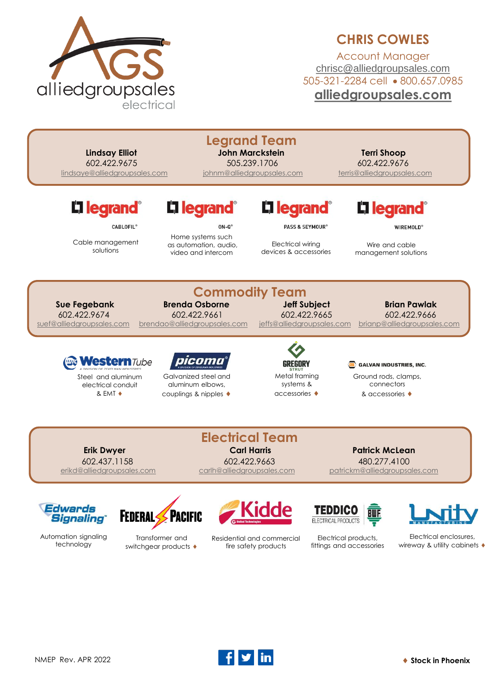

## **CHRIS COWLES**

Account Manager [chrisc@alliedgroupsales.com](mailto:chrisc@alliedgroupsales.com) 505-321-2284 cell • 800.657.0985 **[alliedgroupsales.com](http://www.alliedgroupsales.com/)**

| <b>Lindsay Elliot</b><br>602.422.9675<br>lindsaye@alliedgroupsales.com       |                                                                                                        | <b>Legrand Team</b><br><b>John Marckstein</b><br>505.239.1706<br>johnm@alliedgroupsales.com                | <b>Terri Shoop</b><br>602.422.9676<br>terris@alliedgroupsales.com                       |
|------------------------------------------------------------------------------|--------------------------------------------------------------------------------------------------------|------------------------------------------------------------------------------------------------------------|-----------------------------------------------------------------------------------------|
| L1 legrand <sup>®</sup><br><b>CABLOFIL®</b><br>Cable management<br>solutions | L <sub>legrand</sub> ®<br>$ON-O^*$<br>Home systems such<br>as automation, audio,<br>video and intercom | Li legrand <sup>®</sup><br><b>PASS &amp; SEYMOUR®</b><br><b>Electrical wiring</b><br>devices & accessories | L'I legrand <sup>®</sup><br><b>WIREMOLD®</b><br>Wire and cable<br>management solutions  |
| <b>Sue Fegebank</b><br>602.422.9674<br>suef@alliedgroupsales.com             | <b>Commodity Team</b><br><b>Brenda Osborne</b><br>602.422.9661<br>brendao@alliedgroupsales.com         | <b>Jeff Subject</b><br>602.422.9665<br>jeffs@alliedgroupsales.com                                          | <b>Brian Pawlak</b><br>602.422.9666<br>brianp@alliedgroupsales.com                      |
| <b>estern</b> Tube<br>Steel and aluminum<br>electrical conduit<br>& EMT +    | reon<br>Galvanized steel and<br>aluminum elbows.<br>couplings & nipples ♦                              | GREGORY<br>Metal framing<br>systems &<br>accessories                                                       | <b>GALVAN INDUSTRIES, INC.</b><br>Ground rods, clamps,<br>connectors<br>& accessories ♦ |
| <b>Erik Dwyer</b><br>602.437.1158<br>erikd@alliedgroupsales.com              | <b>Electrical Team</b><br><b>Carl Harris</b><br>602.422.9663<br>carlh@alliedgroupsales.com             |                                                                                                            | <b>Patrick McLean</b><br>480.277.4100<br>patrickm@alliedgroupsales.com                  |
| Edwards<br><b>Signaling</b>                                                  | <b>FEDERAL SPACIFIC</b>                                                                                | TEDDI<br>FLECTRICAL PRODUCT                                                                                |                                                                                         |

Automation signaling technology



Transformer and switchgear products  $\bullet$  Residential and commercial fire safety products

Electrical products, fittings and accessories

Electrical enclosures, wireway & utility cabinets  $\blacklozenge$